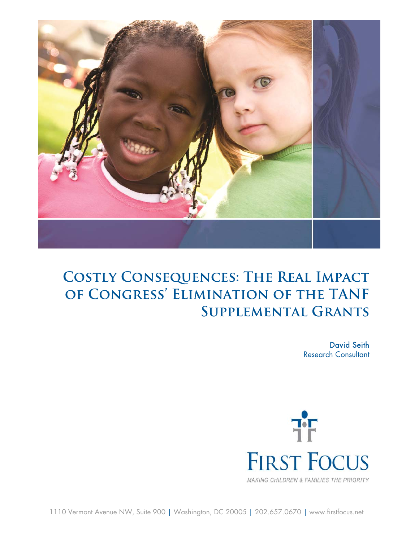

# **Costly Consequences: The Real Impact of Congress' Elimination of the TANF Supplemental Grants**

David Seith Research Consultant



1110 Vermont Avenue NW, Suite 900 | Washington, DC 20005 | 202.657.0670 | www.firstfocus.net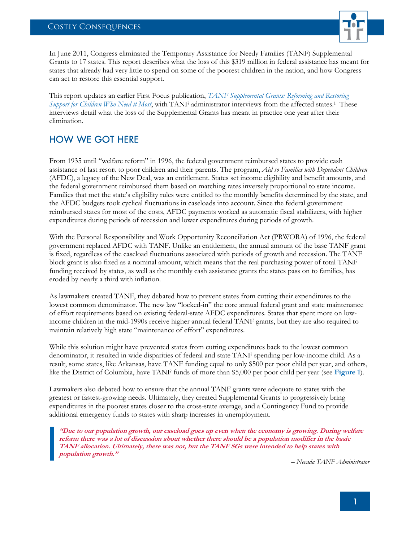

In June 2011, Congress eliminated the Temporary Assistance for Needy Families (TANF) Supplemental Grants to 17 states. This report describes what the loss of this \$319 million in federal assistance has meant for states that already had very little to spend on some of the poorest children in the nation, and how Congress can act to restore this essential support.

This report updates an earlier First Focus publication, *TANF Supplemental Grants: Reforming and Restoring Support for Children Who Need it Most*, with TANF administrator interviews from the affected states.1 These interviews detail what the loss of the Supplemental Grants has meant in practice one year after their elimination.

# HOW WE GOT HERE

From 1935 until "welfare reform" in 1996, the federal government reimbursed states to provide cash assistance of last resort to poor children and their parents. The program, *Aid to Families with Dependent Children* (AFDC), a legacy of the New Deal, was an entitlement. States set income eligibility and benefit amounts, and the federal government reimbursed them based on matching rates inversely proportional to state income. Families that met the state's eligibility rules were entitled to the monthly benefits determined by the state, and the AFDC budgets took cyclical fluctuations in caseloads into account. Since the federal government reimbursed states for most of the costs, AFDC payments worked as automatic fiscal stabilizers, with higher expenditures during periods of recession and lower expenditures during periods of growth.

With the Personal Responsibility and Work Opportunity Reconciliation Act (PRWORA) of 1996, the federal government replaced AFDC with TANF. Unlike an entitlement, the annual amount of the base TANF grant is fixed, regardless of the caseload fluctuations associated with periods of growth and recession. The TANF block grant is also fixed as a nominal amount, which means that the real purchasing power of total TANF funding received by states, as well as the monthly cash assistance grants the states pass on to families, has eroded by nearly a third with inflation.

As lawmakers created TANF, they debated how to prevent states from cutting their expenditures to the lowest common denominator. The new law "locked-in" the core annual federal grant and state maintenance of effort requirements based on existing federal-state AFDC expenditures. States that spent more on lowincome children in the mid-1990s receive higher annual federal TANF grants, but they are also required to maintain relatively high state "maintenance of effort" expenditures.

While this solution might have prevented states from cutting expenditures back to the lowest common denominator, it resulted in wide disparities of federal and state TANF spending per low-income child. As a result, some states, like Arkansas, have TANF funding equal to only \$500 per poor child per year, and others, like the District of Columbia, have TANF funds of more than \$5,000 per poor child per year (see **Figure 1**).

Lawmakers also debated how to ensure that the annual TANF grants were adequate to states with the greatest or fastest-growing needs. Ultimately, they created Supplemental Grants to progressively bring expenditures in the poorest states closer to the cross-state average, and a Contingency Fund to provide additional emergency funds to states with sharp increases in unemployment.

**"Due to our population growth, our caseload goes up even when the economy is growing. During welfare reform there was a lot of discussion about whether there should be a population modifier in the basic TANF allocation. Ultimately, there was not, but the TANF SGs were intended to help states with population growth."** 

*– Nevada TANF Administrator*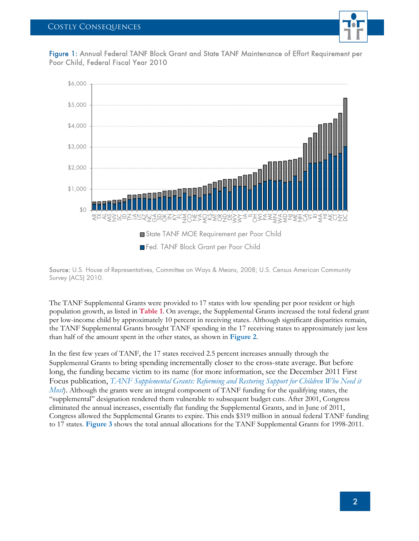

Figure 1: Annual Federal TANF Block Grant and State TANF Maintenance of Effort Requirement per Poor Child, Federal Fiscal Year 2010



Source: U.S. House of Representatives, Committee on Ways & Means, 2008; U.S. Census American Community Survey (ACS) 2010.

The TANF Supplemental Grants were provided to 17 states with low spending per poor resident or high population growth, as listed in **Table 1**. On average, the Supplemental Grants increased the total federal grant per low-income child by approximately 10 percent in receiving states. Although significant disparities remain, the TANF Supplemental Grants brought TANF spending in the 17 receiving states to approximately just less than half of the amount spent in the other states, as shown in **Figure 2**.

In the first few years of TANF, the 17 states received 2.5 percent increases annually through the Supplemental Grants to bring spending incrementally closer to the cross-state average. But before long, the funding became victim to its name (for more information, see the December 2011 First Focus publication, *TANF Supplemental Grants: Reforming and Restoring Support for Children Who Need it Most*). Although the grants were an integral component of TANF funding for the qualifying states, the "supplemental" designation rendered them vulnerable to subsequent budget cuts. After 2001, Congress eliminated the annual increases, essentially flat funding the Supplemental Grants, and in June of 2011, Congress allowed the Supplemental Grants to expire. This ends \$319 million in annual federal TANF funding to 17 states. **Figure 3** shows the total annual allocations for the TANF Supplemental Grants for 1998-2011.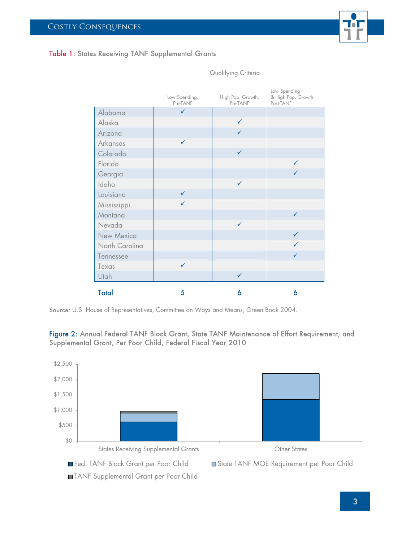### Table 1: States Receiving TANF Supplemental Grants

|                | Low Spending,<br>Pre-TANF | High Pop. Growth,<br>Pre-TANF | Low Spending<br>& High Pop. Growth<br>Post-TANF |
|----------------|---------------------------|-------------------------------|-------------------------------------------------|
| Alabama        | $\checkmark$              |                               |                                                 |
| Alaska         |                           | $\checkmark$                  |                                                 |
| Arizona        |                           | $\checkmark$                  |                                                 |
| Arkansas       | $\checkmark$              |                               |                                                 |
| Colorado       |                           | $\checkmark$                  |                                                 |
| Florida        |                           |                               | $\checkmark$                                    |
| Georgia        |                           |                               | $\checkmark$                                    |
| Idaho          |                           | $\checkmark$                  |                                                 |
| Louisiana      | $\checkmark$              |                               |                                                 |
| Mississippi    | $\checkmark$              |                               |                                                 |
| Montana        |                           |                               | $\checkmark$                                    |
| Nevada         |                           | $\checkmark$                  |                                                 |
| New Mexico     |                           |                               | $\checkmark$                                    |
| North Carolina |                           |                               | $\checkmark$                                    |
| Tennessee      |                           |                               | $\checkmark$                                    |
| Texas          | $\checkmark$              |                               |                                                 |
| Utah           |                           | $\checkmark$                  |                                                 |
| <b>Total</b>   | 5                         | 6                             | 6                                               |

Qualifying Criteria

Source: U.S. House of Representatives, Committee on Ways and Means, Green Book 2004.

Figure 2: Annual Federal TANF Block Grant, State TANF Maintenance of Effort Requirement, and Supplemental Grant, Per Poor Child, Federal Fiscal Year 2010

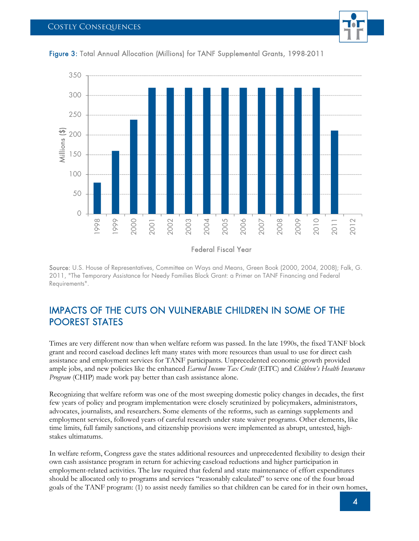



Figure 3: Total Annual Allocation (Millions) for TANF Supplemental Grants, 1998-2011

Source: U.S. House of Representatives, Committee on Ways and Means, Green Book (2000, 2004, 2008); Falk, G. 2011, "The Temporary Assistance for Needy Families Block Grant: a Primer on TANF Financing and Federal Requirements".

## IMPACTS OF THE CUTS ON VULNERABLE CHILDREN IN SOME OF THE POOREST STATES

Times are very different now than when welfare reform was passed. In the late 1990s, the fixed TANF block grant and record caseload declines left many states with more resources than usual to use for direct cash assistance and employment services for TANF participants. Unprecedented economic growth provided ample jobs, and new policies like the enhanced *Earned Income Tax Credit* (EITC) and *Children's Health Insurance Program* (CHIP) made work pay better than cash assistance alone.

Recognizing that welfare reform was one of the most sweeping domestic policy changes in decades, the first few years of policy and program implementation were closely scrutinized by policymakers, administrators, advocates, journalists, and researchers. Some elements of the reforms, such as earnings supplements and employment services, followed years of careful research under state waiver programs. Other elements, like time limits, full family sanctions, and citizenship provisions were implemented as abrupt, untested, highstakes ultimatums.

In welfare reform, Congress gave the states additional resources and unprecedented flexibility to design their own cash assistance program in return for achieving caseload reductions and higher participation in employment-related activities. The law required that federal and state maintenance of effort expenditures should be allocated only to programs and services "reasonably calculated" to serve one of the four broad goals of the TANF program: (1) to assist needy families so that children can be cared for in their own homes,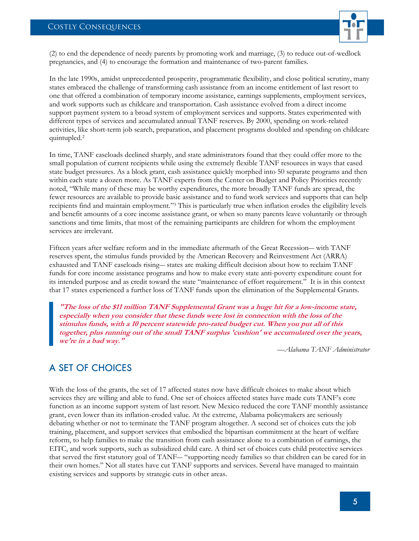

(2) to end the dependence of needy parents by promoting work and marriage, (3) to reduce out-of-wedlock pregnancies, and (4) to encourage the formation and maintenance of two-parent families.

In the late 1990s, amidst unprecedented prosperity, programmatic flexibility, and close political scrutiny, many states embraced the challenge of transforming cash assistance from an income entitlement of last resort to one that offered a combination of temporary income assistance, earnings supplements, employment services, and work supports such as childcare and transportation. Cash assistance evolved from a direct income support payment system to a broad system of employment services and supports. States experimented with different types of services and accumulated annual TANF reserves. By 2000, spending on work-related activities, like short-term job search, preparation, and placement programs doubled and spending on childcare quintupled.2

In time, TANF caseloads declined sharply, and state administrators found that they could offer more to the small population of current recipients while using the extremely flexible TANF resources in ways that eased state budget pressures. As a block grant, cash assistance quickly morphed into 50 separate programs and then within each state a dozen more. As TANF experts from the Center on Budget and Policy Priorities recently noted, "While many of these may be worthy expenditures, the more broadly TANF funds are spread, the fewer resources are available to provide basic assistance and to fund work services and supports that can help recipients find and maintain employment."3 This is particularly true when inflation erodes the eligibility levels and benefit amounts of a core income assistance grant, or when so many parents leave voluntarily or through sanctions and time limits, that most of the remaining participants are children for whom the employment services are irrelevant.

Fifteen years after welfare reform and in the immediate aftermath of the Great Recession― with TANF reserves spent, the stimulus funds provided by the American Recovery and Reinvestment Act (ARRA) exhausted and TANF caseloads rising― states are making difficult decision about how to reclaim TANF funds for core income assistance programs and how to make every state anti-poverty expenditure count for its intended purpose and as credit toward the state "maintenance of effort requirement." It is in this context that 17 states experienced a further loss of TANF funds upon the elimination of the Supplemental Grants.

**"The loss of the \$11 million TANF Supplemental Grant was a huge hit for a low-income state, especially when you consider that these funds were lost in connection with the loss of the stimulus funds, with a 10 percent statewide pro-rated budget cut. When you put all of this together, plus running out of the small TANF surplus 'cushion' we accumulated over the years, we're in a bad way."** 

*—Alabama TANF Administrator* 

### A SET OF CHOICES

With the loss of the grants, the set of 17 affected states now have difficult choices to make about which services they are willing and able to fund. One set of choices affected states have made cuts TANF's core function as an income support system of last resort. New Mexico reduced the core TANF monthly assistance grant, even lower than its inflation-eroded value. At the extreme, Alabama policymakers are seriously debating whether or not to terminate the TANF program altogether. A second set of choices cuts the job training, placement, and support services that embodied the bipartisan commitment at the heart of welfare reform, to help families to make the transition from cash assistance alone to a combination of earnings, the EITC, and work supports, such as subsidized child care. A third set of choices cuts child protective services that served the first statutory goal of TANF― "supporting needy families so that children can be cared for in their own homes." Not all states have cut TANF supports and services. Several have managed to maintain existing services and supports by strategic cuts in other areas.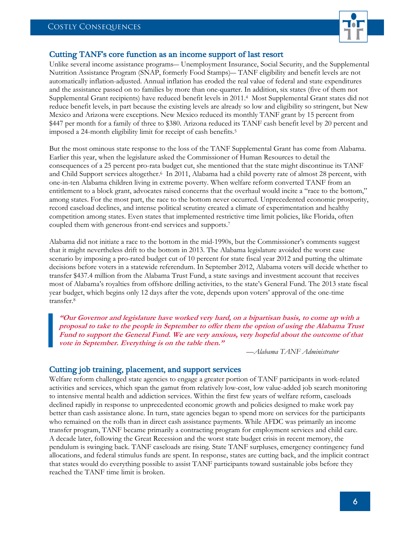

#### Cutting TANF's core function as an income support of last resort

Unlike several income assistance programs― Unemployment Insurance, Social Security, and the Supplemental Nutrition Assistance Program (SNAP, formerly Food Stamps)― TANF eligibility and benefit levels are not automatically inflation-adjusted. Annual inflation has eroded the real value of federal and state expenditures and the assistance passed on to families by more than one-quarter. In addition, six states (five of them not Supplemental Grant recipients) have reduced benefit levels in 2011.4 Most Supplemental Grant states did not reduce benefit levels, in part because the existing levels are already so low and eligibility so stringent, but New Mexico and Arizona were exceptions. New Mexico reduced its monthly TANF grant by 15 percent from \$447 per month for a family of three to \$380. Arizona reduced its TANF cash benefit level by 20 percent and imposed a 24-month eligibility limit for receipt of cash benefits.5

But the most ominous state response to the loss of the TANF Supplemental Grant has come from Alabama. Earlier this year, when the legislature asked the Commissioner of Human Resources to detail the consequences of a 25 percent pro-rata budget cut, she mentioned that the state might discontinue its TANF and Child Support services altogether.6 In 2011, Alabama had a child poverty rate of almost 28 percent, with one-in-ten Alabama children living in extreme poverty. When welfare reform converted TANF from an entitlement to a block grant, advocates raised concerns that the overhaul would incite a "race to the bottom," among states. For the most part, the race to the bottom never occurred. Unprecedented economic prosperity, record caseload declines, and intense political scrutiny created a climate of experimentation and healthy competition among states. Even states that implemented restrictive time limit policies, like Florida, often coupled them with generous front-end services and supports.7

Alabama did not initiate a race to the bottom in the mid-1990s, but the Commissioner's comments suggest that it might nevertheless drift to the bottom in 2013. The Alabama legislature avoided the worst case scenario by imposing a pro-rated budget cut of 10 percent for state fiscal year 2012 and putting the ultimate decisions before voters in a statewide referendum. In September 2012, Alabama voters will decide whether to transfer \$437.4 million from the Alabama Trust Fund, a state savings and investment account that receives most of Alabama's royalties from offshore drilling activities, to the state's General Fund. The 2013 state fiscal year budget, which begins only 12 days after the vote, depends upon voters' approval of the one-time transfer.8

**"Our Governor and legislature have worked very hard, on a bipartisan basis, to come up with a proposal to take to the people in September to offer them the option of using the Alabama Trust Fund to support the General Fund. We are very anxious, very hopeful about the outcome of that vote in September. Everything is on the table then."** 

*—Alabama TANF Administrator* 

#### Cutting job training, placement, and support services

Welfare reform challenged state agencies to engage a greater portion of TANF participants in work-related activities and services, which span the gamut from relatively low-cost, low value-added job search monitoring to intensive mental health and addiction services. Within the first few years of welfare reform, caseloads declined rapidly in response to unprecedented economic growth and policies designed to make work pay better than cash assistance alone. In turn, state agencies began to spend more on services for the participants who remained on the rolls than in direct cash assistance payments. While AFDC was primarily an income transfer program, TANF became primarily a contracting program for employment services and child care. A decade later, following the Great Recession and the worst state budget crisis in recent memory, the pendulum is swinging back. TANF caseloads are rising. State TANF surpluses, emergency contingency fund allocations, and federal stimulus funds are spent. In response, states are cutting back, and the implicit contract that states would do everything possible to assist TANF participants toward sustainable jobs before they reached the TANF time limit is broken.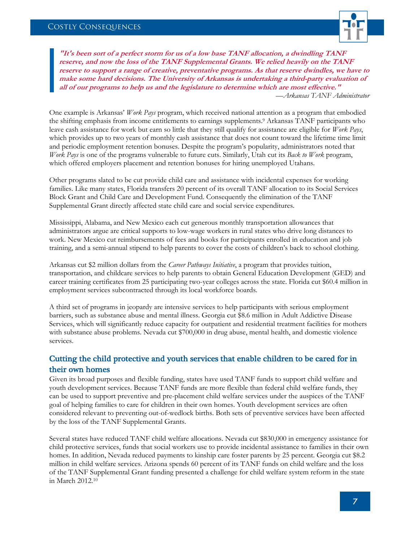

**"It's been sort of a perfect storm for us of a low base TANF allocation, a dwindling TANF reserve, and now the loss of the TANF Supplemental Grants. We relied heavily on the TANF reserve to support a range of creative, preventative programs. As that reserve dwindles, we have to make some hard decisions. The University of Arkansas is undertaking a third-party evaluation of all of our programs to help us and the legislature to determine which are most effective."**  *—Arkansas TANF Administrator* 

One example is Arkansas' *Work Pays* program, which received national attention as a program that embodied the shifting emphasis from income entitlements to earnings supplements.9 Arkansas TANF participants who leave cash assistance for work but earn so little that they still qualify for assistance are eligible for *Work Pays*, which provides up to two years of monthly cash assistance that does not count toward the lifetime time limit and periodic employment retention bonuses. Despite the program's popularity, administrators noted that *Work Pays* is one of the programs vulnerable to future cuts. Similarly, Utah cut its *Back to Work* program, which offered employers placement and retention bonuses for hiring unemployed Utahans.

Other programs slated to be cut provide child care and assistance with incidental expenses for working families. Like many states, Florida transfers 20 percent of its overall TANF allocation to its Social Services Block Grant and Child Care and Development Fund. Consequently the elimination of the TANF Supplemental Grant directly affected state child care and social service expenditures.

Mississippi, Alabama, and New Mexico each cut generous monthly transportation allowances that administrators argue are critical supports to low-wage workers in rural states who drive long distances to work. New Mexico cut reimbursements of fees and books for participants enrolled in education and job training, and a semi-annual stipend to help parents to cover the costs of children's back to school clothing.

Arkansas cut \$2 million dollars from the *Career Pathways Initiative*, a program that provides tuition, transportation, and childcare services to help parents to obtain General Education Development (GED) and career training certificates from 25 participating two-year colleges across the state. Florida cut \$60.4 million in employment services subcontracted through its local workforce boards.

A third set of programs in jeopardy are intensive services to help participants with serious employment barriers, such as substance abuse and mental illness. Georgia cut \$8.6 million in Adult Addictive Disease Services, which will significantly reduce capacity for outpatient and residential treatment facilities for mothers with substance abuse problems. Nevada cut \$700,000 in drug abuse, mental health, and domestic violence services.

### Cutting the child protective and youth services that enable children to be cared for in their own homes

Given its broad purposes and flexible funding, states have used TANF funds to support child welfare and youth development services. Because TANF funds are more flexible than federal child welfare funds, they can be used to support preventive and pre-placement child welfare services under the auspices of the TANF goal of helping families to care for children in their own homes. Youth development services are often considered relevant to preventing out-of-wedlock births. Both sets of preventive services have been affected by the loss of the TANF Supplemental Grants.

Several states have reduced TANF child welfare allocations. Nevada cut \$830,000 in emergency assistance for child protective services, funds that social workers use to provide incidental assistance to families in their own homes. In addition, Nevada reduced payments to kinship care foster parents by 25 percent. Georgia cut \$8.2 million in child welfare services. Arizona spends 60 percent of its TANF funds on child welfare and the loss of the TANF Supplemental Grant funding presented a challenge for child welfare system reform in the state in March 2012.10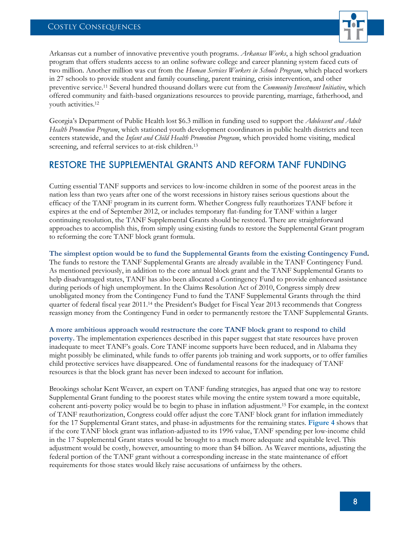

Arkansas cut a number of innovative preventive youth programs. *Arkansas Works*, a high school graduation program that offers students access to an online software college and career planning system faced cuts of two million. Another million was cut from the *Human Services Workers in Schools Program*, which placed workers in 27 schools to provide student and family counseling, parent training, crisis intervention, and other preventive service.11 Several hundred thousand dollars were cut from the *Community Investment Initiative*, which offered community and faith-based organizations resources to provide parenting, marriage, fatherhood, and youth activities.12

Georgia's Department of Public Health lost \$6.3 million in funding used to support the *Adolescent and Adult Health Promotion Program*, which stationed youth development coordinators in public health districts and teen centers statewide, and the *Infant and Child Health Promotion Program*, which provided home visiting, medical screening, and referral services to at-risk children.13

### RESTORE THE SUPPLEMENTAL GRANTS AND REFORM TANF FUNDING

Cutting essential TANF supports and services to low-income children in some of the poorest areas in the nation less than two years after one of the worst recessions in history raises serious questions about the efficacy of the TANF program in its current form. Whether Congress fully reauthorizes TANF before it expires at the end of September 2012, or includes temporary flat-funding for TANF within a larger continuing resolution, the TANF Supplemental Grants should be restored. There are straightforward approaches to accomplish this, from simply using existing funds to restore the Supplemental Grant program to reforming the core TANF block grant formula.

**The simplest option would be to fund the Supplemental Grants from the existing Contingency Fund.** The funds to restore the TANF Supplemental Grants are already available in the TANF Contingency Fund. As mentioned previously, in addition to the core annual block grant and the TANF Supplemental Grants to help disadvantaged states, TANF has also been allocated a Contingency Fund to provide enhanced assistance during periods of high unemployment. In the Claims Resolution Act of 2010, Congress simply drew unobligated money from the Contingency Fund to fund the TANF Supplemental Grants through the third quarter of federal fiscal year 2011.14 the President's Budget for Fiscal Year 2013 recommends that Congress reassign money from the Contingency Fund in order to permanently restore the TANF Supplemental Grants.

**A more ambitious approach would restructure the core TANF block grant to respond to child poverty.** The implementation experiences described in this paper suggest that state resources have proven inadequate to meet TANF's goals. Core TANF income supports have been reduced, and in Alabama they might possibly be eliminated, while funds to offer parents job training and work supports, or to offer families child protective services have disappeared. One of fundamental reasons for the inadequacy of TANF resources is that the block grant has never been indexed to account for inflation.

Brookings scholar Kent Weaver, an expert on TANF funding strategies, has argued that one way to restore Supplemental Grant funding to the poorest states while moving the entire system toward a more equitable, coherent anti-poverty policy would be to begin to phase in inflation adjustment.15 For example, in the context of TANF reauthorization, Congress could offer adjust the core TANF block grant for inflation immediately for the 17 Supplemental Grant states, and phase-in adjustments for the remaining states. **Figure 4** shows that if the core TANF block grant was inflation-adjusted to its 1996 value, TANF spending per low-income child in the 17 Supplemental Grant states would be brought to a much more adequate and equitable level. This adjustment would be costly, however, amounting to more than \$4 billion. As Weaver mentions, adjusting the federal portion of the TANF grant without a corresponding increase in the state maintenance of effort requirements for those states would likely raise accusations of unfairness by the others.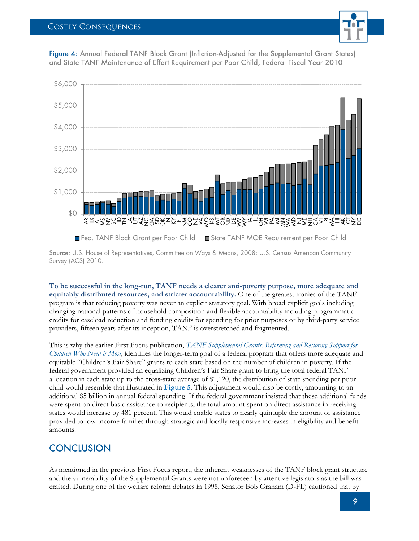#### Costly Consequences



Figure 4: Annual Federal TANF Block Grant (Inflation-Adjusted for the Supplemental Grant States) and State TANF Maintenance of Effort Requirement per Poor Child, Federal Fiscal Year 2010



Source: U.S. House of Representatives, Committee on Ways & Means, 2008; U.S. Census American Community Survey (ACS) 2010.

**To be successful in the long-run, TANF needs a clearer anti-poverty purpose, more adequate and equitably distributed resources, and stricter accountability.** One of the greatest ironies of the TANF program is that reducing poverty was never an explicit statutory goal. With broad explicit goals including changing national patterns of household composition and flexible accountability including programmatic credits for caseload reduction and funding credits for spending for prior purposes or by third-party service providers, fifteen years after its inception, TANF is overstretched and fragmented.

This is why the earlier First Focus publication, *TANF Supplemental Grants: Reforming and Restoring Support for Children Who Need it Most,* identifies the longer-term goal of a federal program that offers more adequate and equitable "Children's Fair Share" grants to each state based on the number of children in poverty. If the federal government provided an equalizing Children's Fair Share grant to bring the total federal TANF allocation in each state up to the cross-state average of \$1,120, the distribution of state spending per poor child would resemble that illustrated in **Figure 5**. This adjustment would also be costly, amounting to an additional \$5 billion in annual federal spending. If the federal government insisted that these additional funds were spent on direct basic assistance to recipients, the total amount spent on direct assistance in receiving states would increase by 481 percent. This would enable states to nearly quintuple the amount of assistance provided to low-income families through strategic and locally responsive increases in eligibility and benefit amounts.

### **CONCLUSION**

As mentioned in the previous First Focus report, the inherent weaknesses of the TANF block grant structure and the vulnerability of the Supplemental Grants were not unforeseen by attentive legislators as the bill was crafted. During one of the welfare reform debates in 1995, Senator Bob Graham (D-FL) cautioned that by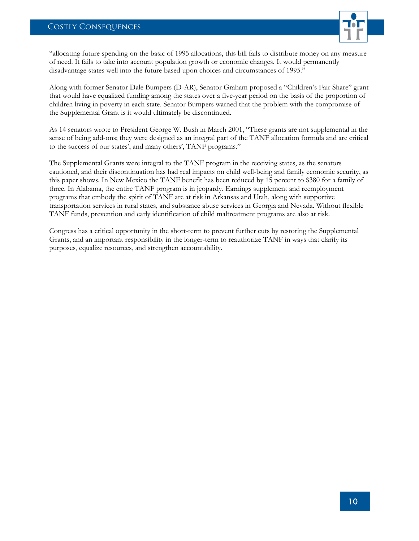

"allocating future spending on the basic of 1995 allocations, this bill fails to distribute money on any measure of need. It fails to take into account population growth or economic changes. It would permanently disadvantage states well into the future based upon choices and circumstances of 1995."

Along with former Senator Dale Bumpers (D-AR), Senator Graham proposed a "Children's Fair Share" grant that would have equalized funding among the states over a five-year period on the basis of the proportion of children living in poverty in each state. Senator Bumpers warned that the problem with the compromise of the Supplemental Grant is it would ultimately be discontinued.

As 14 senators wrote to President George W. Bush in March 2001, "These grants are not supplemental in the sense of being add-ons; they were designed as an integral part of the TANF allocation formula and are critical to the success of our states', and many others', TANF programs."

The Supplemental Grants were integral to the TANF program in the receiving states, as the senators cautioned, and their discontinuation has had real impacts on child well-being and family economic security, as this paper shows. In New Mexico the TANF benefit has been reduced by 15 percent to \$380 for a family of three. In Alabama, the entire TANF program is in jeopardy. Earnings supplement and reemployment programs that embody the spirit of TANF are at risk in Arkansas and Utah, along with supportive transportation services in rural states, and substance abuse services in Georgia and Nevada. Without flexible TANF funds, prevention and early identification of child maltreatment programs are also at risk.

Congress has a critical opportunity in the short-term to prevent further cuts by restoring the Supplemental Grants, and an important responsibility in the longer-term to reauthorize TANF in ways that clarify its purposes, equalize resources, and strengthen accountability.